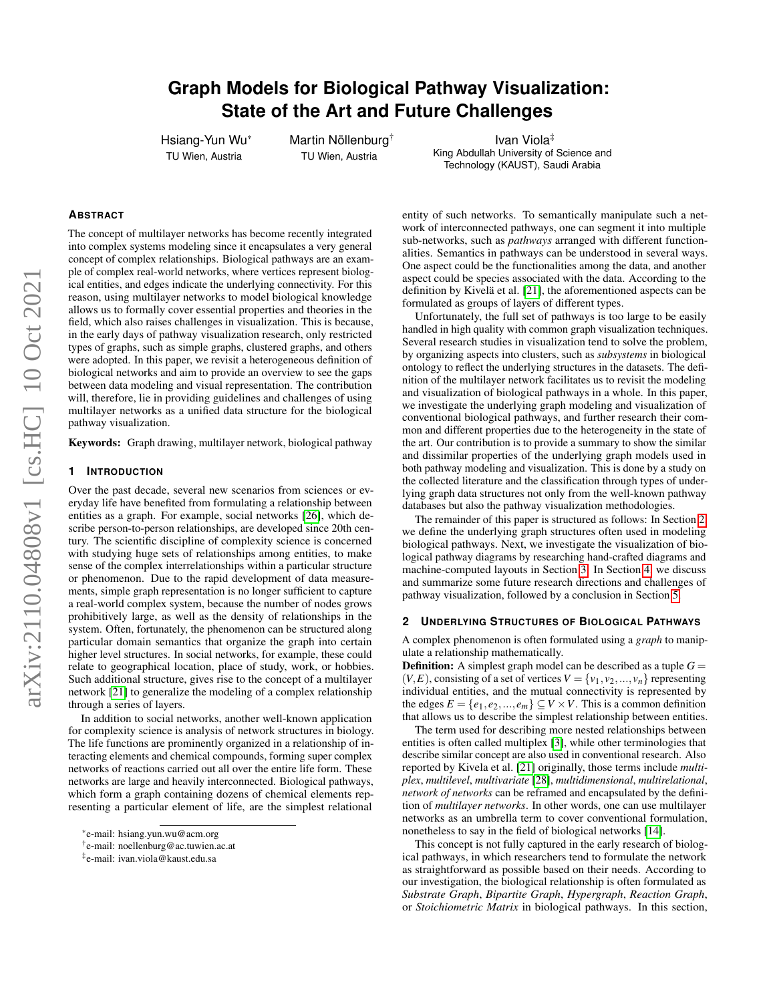# **Graph Models for Biological Pathway Visualization: State of the Art and Future Challenges**

Hsiang-Yun Wu\* TU Wien, Austria

Martin Nöllenburg<sup>†</sup> TU Wien, Austria

Ivan Viola‡ King Abdullah University of Science and Technology (KAUST), Saudi Arabia

#### **ABSTRACT**

The concept of multilayer networks has become recently integrated into complex systems modeling since it encapsulates a very general concept of complex relationships. Biological pathways are an example of complex real-world networks, where vertices represent biological entities, and edges indicate the underlying connectivity. For this reason, using multilayer networks to model biological knowledge allows us to formally cover essential properties and theories in the field, which also raises challenges in visualization. This is because, in the early days of pathway visualization research, only restricted types of graphs, such as simple graphs, clustered graphs, and others were adopted. In this paper, we revisit a heterogeneous definition of biological networks and aim to provide an overview to see the gaps between data modeling and visual representation. The contribution will, therefore, lie in providing guidelines and challenges of using multilayer networks as a unified data structure for the biological pathway visualization.

Keywords: Graph drawing, multilayer network, biological pathway

#### **1 INTRODUCTION**

Over the past decade, several new scenarios from sciences or everyday life have benefited from formulating a relationship between entities as a graph. For example, social networks [\[26\]](#page-4-0), which describe person-to-person relationships, are developed since 20th century. The scientific discipline of complexity science is concerned with studying huge sets of relationships among entities, to make sense of the complex interrelationships within a particular structure or phenomenon. Due to the rapid development of data measurements, simple graph representation is no longer sufficient to capture a real-world complex system, because the number of nodes grows prohibitively large, as well as the density of relationships in the system. Often, fortunately, the phenomenon can be structured along particular domain semantics that organize the graph into certain higher level structures. In social networks, for example, these could relate to geographical location, place of study, work, or hobbies. Such additional structure, gives rise to the concept of a multilayer network [\[21\]](#page-4-1) to generalize the modeling of a complex relationship through a series of layers.

In addition to social networks, another well-known application for complexity science is analysis of network structures in biology. The life functions are prominently organized in a relationship of interacting elements and chemical compounds, forming super complex networks of reactions carried out all over the entire life form. These networks are large and heavily interconnected. Biological pathways, which form a graph containing dozens of chemical elements representing a particular element of life, are the simplest relational

entity of such networks. To semantically manipulate such a network of interconnected pathways, one can segment it into multiple sub-networks, such as *pathways* arranged with different functionalities. Semantics in pathways can be understood in several ways. One aspect could be the functionalities among the data, and another aspect could be species associated with the data. According to the definition by Kivelä et al.  $[21]$ , the aforementioned aspects can be formulated as groups of layers of different types.

Unfortunately, the full set of pathways is too large to be easily handled in high quality with common graph visualization techniques. Several research studies in visualization tend to solve the problem, by organizing aspects into clusters, such as *subsystems* in biological ontology to reflect the underlying structures in the datasets. The definition of the multilayer network facilitates us to revisit the modeling and visualization of biological pathways in a whole. In this paper, we investigate the underlying graph modeling and visualization of conventional biological pathways, and further research their common and different properties due to the heterogeneity in the state of the art. Our contribution is to provide a summary to show the similar and dissimilar properties of the underlying graph models used in both pathway modeling and visualization. This is done by a study on the collected literature and the classification through types of underlying graph data structures not only from the well-known pathway databases but also the pathway visualization methodologies.

The remainder of this paper is structured as follows: In Section [2,](#page-0-0) we define the underlying graph structures often used in modeling biological pathways. Next, we investigate the visualization of biological pathway diagrams by researching hand-crafted diagrams and machine-computed layouts in Section [3.](#page-2-0) In Section [4,](#page-3-0) we discuss and summarize some future research directions and challenges of pathway visualization, followed by a conclusion in Section [5.](#page-3-1)

#### <span id="page-0-0"></span>**2 UNDERLYING STRUCTURES OF BIOLOGICAL PATHWAYS**

A complex phenomenon is often formulated using a *graph* to manipulate a relationship mathematically.

**Definition:** A simplest graph model can be described as a tuple  $G =$  $(V, E)$ , consisting of a set of vertices  $V = \{v_1, v_2, ..., v_n\}$  representing individual entities, and the mutual connectivity is represented by the edges  $E = \{e_1, e_2, ..., e_m\} \subseteq V \times V$ . This is a common definition that allows us to describe the simplest relationship between entities.

The term used for describing more nested relationships between entities is often called multiplex [\[3\]](#page-4-2), while other terminologies that describe similar concept are also used in conventional research. Also reported by Kivela et al. [\[21\]](#page-4-1) originally, those terms include *multiplex*, *multilevel*, *multivariate* [\[28\]](#page-4-3), *multidimensional*, *multirelational*, *network of networks* can be reframed and encapsulated by the definition of *multilayer networks*. In other words, one can use multilayer networks as an umbrella term to cover conventional formulation, nonetheless to say in the field of biological networks [\[14\]](#page-4-4).

This concept is not fully captured in the early research of biological pathways, in which researchers tend to formulate the network as straightforward as possible based on their needs. According to our investigation, the biological relationship is often formulated as *Substrate Graph*, *Bipartite Graph*, *Hypergraph*, *Reaction Graph*, or *Stoichiometric Matrix* in biological pathways. In this section,

<sup>\*</sup>e-mail: hsiang.yun.wu@acm.org

<sup>†</sup> e-mail: noellenburg@ac.tuwien.ac.at

<sup>‡</sup> e-mail: ivan.viola@kaust.edu.sa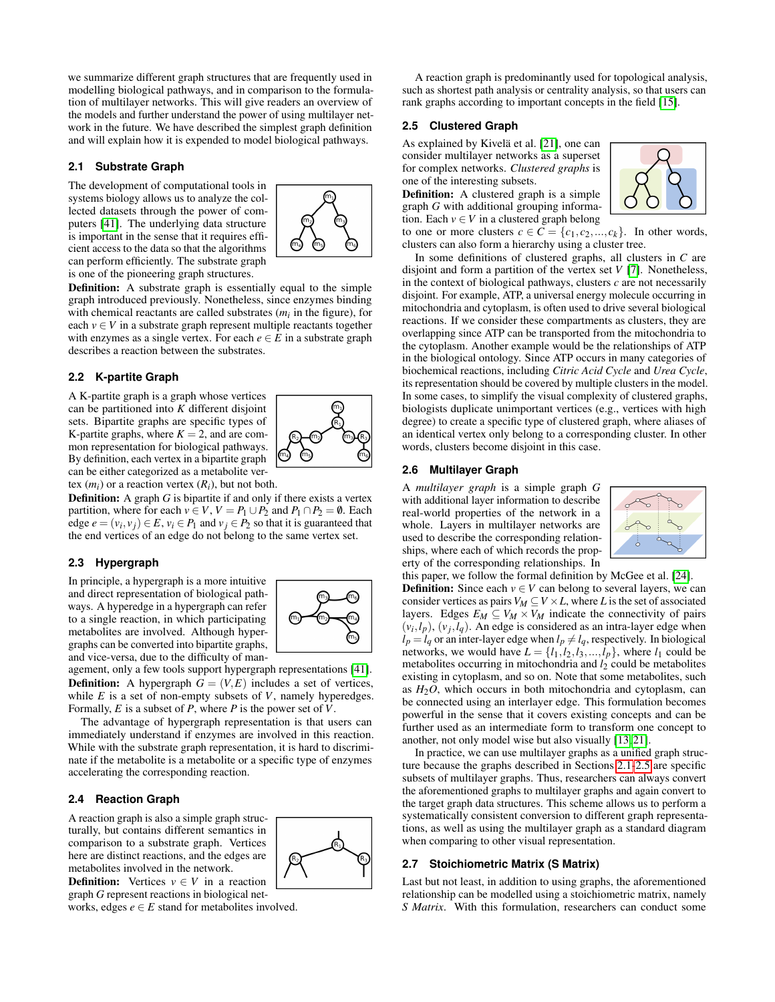we summarize different graph structures that are frequently used in modelling biological pathways, and in comparison to the formulation of multilayer networks. This will give readers an overview of the models and further understand the power of using multilayer network in the future. We have described the simplest graph definition and will explain how it is expended to model biological pathways.

# <span id="page-1-0"></span>**2.1 Substrate Graph**

The development of computational tools in systems biology allows us to analyze the collected datasets through the power of computers [\[41\]](#page-4-5). The underlying data structure is important in the sense that it requires efficient access to the data so that the algorithms can perform efficiently. The substrate graph is one of the pioneering graph structures.



Definition: A substrate graph is essentially equal to the simple graph introduced previously. Nonetheless, since enzymes binding with chemical reactants are called substrates (*mi* in the figure), for each  $v \in V$  in a substrate graph represent multiple reactants together with enzymes as a single vertex. For each  $e \in E$  in a substrate graph describes a reaction between the substrates.

# **2.2 K-partite Graph**

A K-partite graph is a graph whose vertices can be partitioned into *K* different disjoint sets. Bipartite graphs are specific types of K-partite graphs, where  $K = 2$ , and are common representation for biological pathways. By definition, each vertex in a bipartite graph can be either categorized as a metabolite ver-



tex  $(m_i)$  or a reaction vertex  $(R_i)$ , but not both.

**Definition:** A graph *G* is bipartite if and only if there exists a vertex partition, where for each  $v \in V$ ,  $V = P_1 \cup P_2$  and  $P_1 \cap P_2 = \emptyset$ . Each edge  $e = (v_i, v_j) \in E$ ,  $v_i \in P_1$  and  $v_j \in P_2$  so that it is guaranteed that the end vertices of an edge do not belong to the same vertex set.

#### **2.3 Hypergraph**

In principle, a hypergraph is a more intuitive and direct representation of biological pathways. A hyperedge in a hypergraph can refer to a single reaction, in which participating metabolites are involved. Although hypergraphs can be converted into bipartite graphs, and vice-versa, due to the difficulty of man-



agement, only a few tools support hypergraph representations [\[41\]](#page-4-5). **Definition:** A hypergraph  $G = (V, E)$  includes a set of vertices, while *E* is a set of non-empty subsets of *V*, namely hyperedges. Formally, *E* is a subset of *P*, where *P* is the power set of *V*.

The advantage of hypergraph representation is that users can immediately understand if enzymes are involved in this reaction. While with the substrate graph representation, it is hard to discriminate if the metabolite is a metabolite or a specific type of enzymes accelerating the corresponding reaction.

## **2.4 Reaction Graph**

A reaction graph is also a simple graph structurally, but contains different semantics in comparison to a substrate graph. Vertices here are distinct reactions, and the edges are metabolites involved in the network.

**Definition:** Vertices  $v \in V$  in a reaction graph *G* represent reactions in biological net-

works, edges  $e \in E$  stand for metabolites involved.

A reaction graph is predominantly used for topological analysis, such as shortest path analysis or centrality analysis, so that users can rank graphs according to important concepts in the field [\[15\]](#page-4-6).

### <span id="page-1-1"></span>**2.5 Clustered Graph**

As explained by Kivelä et al. [\[21\]](#page-4-1), one can consider multilayer networks as a superset for complex networks. *Clustered graphs* is one of the interesting subsets.

Definition: A clustered graph is a simple graph *G* with additional grouping information. Each  $v \in V$  in a clustered graph belong

to one or more clusters  $c \in \overline{C} = \{c_1, c_2, ..., c_k\}$ . In other words, clusters can also form a hierarchy using a cluster tree.

In some definitions of clustered graphs, all clusters in *C* are disjoint and form a partition of the vertex set *V* [\[7\]](#page-4-7). Nonetheless, in the context of biological pathways, clusters  $c$  are not necessarily disjoint. For example, ATP, a universal energy molecule occurring in mitochondria and cytoplasm, is often used to drive several biological reactions. If we consider these compartments as clusters, they are overlapping since ATP can be transported from the mitochondria to the cytoplasm. Another example would be the relationships of ATP in the biological ontology. Since ATP occurs in many categories of biochemical reactions, including *Citric Acid Cycle* and *Urea Cycle*, its representation should be covered by multiple clusters in the model. In some cases, to simplify the visual complexity of clustered graphs, biologists duplicate unimportant vertices (e.g., vertices with high degree) to create a specific type of clustered graph, where aliases of an identical vertex only belong to a corresponding cluster. In other words, clusters become disjoint in this case.

#### **2.6 Multilayer Graph**

A *multilayer graph* is a simple graph *G* with additional layer information to describe real-world properties of the network in a whole. Layers in multilayer networks are used to describe the corresponding relationships, where each of which records the property of the corresponding relationships. In



this paper, we follow the formal definition by McGee et al. [\[24\]](#page-4-8). **Definition:** Since each  $v \in V$  can belong to several layers, we can consider vertices as pairs  $V_M \subseteq V \times L$ , where *L* is the set of associated layers. Edges  $E_M \subseteq V_M \times V_M$  indicate the connectivity of pairs  $(v_i, l_p)$ ,  $(v_j, l_q)$ . An edge is considered as an intra-layer edge when  $l_p = l_q$  or an inter-layer edge when  $l_p \neq l_q$ , respectively. In biological networks, we would have  $L = \{l_1, l_2, l_3, ..., l_p\}$ , where  $l_1$  could be metabolites occurring in mitochondria and  $l_2$  could be metabolites existing in cytoplasm, and so on. Note that some metabolites, such as *H*2*O*, which occurs in both mitochondria and cytoplasm, can be connected using an interlayer edge. This formulation becomes powerful in the sense that it covers existing concepts and can be further used as an intermediate form to transform one concept to another, not only model wise but also visually [\[13,](#page-4-9) [21\]](#page-4-1).

In practice, we can use multilayer graphs as a unified graph structure because the graphs described in Sections [2.1](#page-1-0)[-2.5](#page-1-1) are specific subsets of multilayer graphs. Thus, researchers can always convert the aforementioned graphs to multilayer graphs and again convert to the target graph data structures. This scheme allows us to perform a systematically consistent conversion to different graph representations, as well as using the multilayer graph as a standard diagram when comparing to other visual representation.

#### **2.7 Stoichiometric Matrix (S Matrix)**

Last but not least, in addition to using graphs, the aforementioned relationship can be modelled using a stoichiometric matrix, namely *S Matrix*. With this formulation, researchers can conduct some

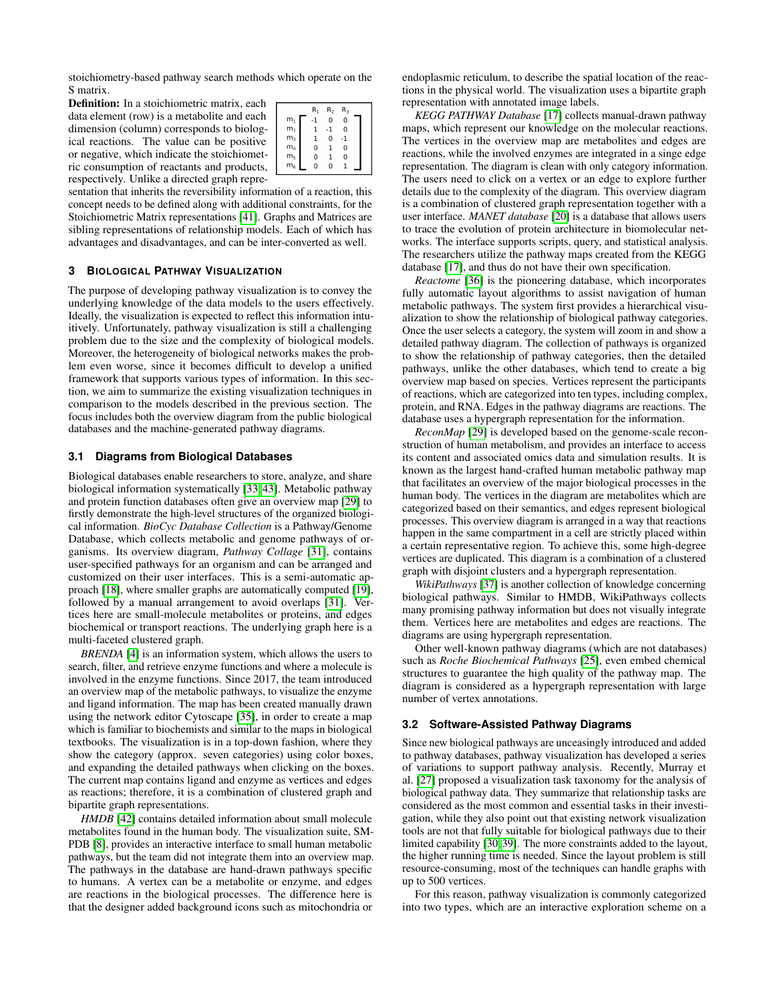stoichiometry-based pathway search methods which operate on the S matrix.

Definition: In a stoichiometric matrix, each data element (row) is a metabolite and each dimension (column) corresponds to biological reactions. The value can be positive or negative, which indicate the stoichiometric consumption of reactants and products, respectively. Unlike a directed graph repre-

|                | $R_1$        | R <sub>2</sub> | $R_3$        |  |
|----------------|--------------|----------------|--------------|--|
| $m_1$<br>$m_2$ | -1           | $\mathbf 0$    | 0            |  |
|                | $\mathbf{1}$ | $-1$           | 0            |  |
| m <sub>3</sub> | ı            | $\Omega$       | -1           |  |
| m <sub>4</sub> | 0            | 1              | 0            |  |
| m <sub>5</sub> | 0            | 1              | 0            |  |
| m <sub>6</sub> | $\mathbf 0$  | $\Omega$       | $\mathbf{1}$ |  |

sentation that inherits the reversibility information of a reaction, this concept needs to be defined along with additional constraints, for the Stoichiometric Matrix representations [\[41\]](#page-4-5). Graphs and Matrices are sibling representations of relationship models. Each of which has advantages and disadvantages, and can be inter-converted as well.

# <span id="page-2-0"></span>**3 BIOLOGICAL PATHWAY VISUALIZATION**

The purpose of developing pathway visualization is to convey the underlying knowledge of the data models to the users effectively. Ideally, the visualization is expected to reflect this information intuitively. Unfortunately, pathway visualization is still a challenging problem due to the size and the complexity of biological models. Moreover, the heterogeneity of biological networks makes the problem even worse, since it becomes difficult to develop a unified framework that supports various types of information. In this section, we aim to summarize the existing visualization techniques in comparison to the models described in the previous section. The focus includes both the overview diagram from the public biological databases and the machine-generated pathway diagrams.

#### **3.1 Diagrams from Biological Databases**

Biological databases enable researchers to store, analyze, and share biological information systematically [\[33,](#page-4-10) [43\]](#page-4-11). Metabolic pathway and protein function databases often give an overview map [\[29\]](#page-4-12) to firstly demonstrate the high-level structures of the organized biological information. *BioCyc Database Collection* is a Pathway/Genome Database, which collects metabolic and genome pathways of organisms. Its overview diagram, *Pathway Collage* [\[31\]](#page-4-13), contains user-specified pathways for an organism and can be arranged and customized on their user interfaces. This is a semi-automatic approach [\[18\]](#page-4-14), where smaller graphs are automatically computed [\[19\]](#page-4-15), followed by a manual arrangement to avoid overlaps [\[31\]](#page-4-13). Vertices here are small-molecule metabolites or proteins, and edges biochemical or transport reactions. The underlying graph here is a multi-faceted clustered graph.

*BRENDA* [\[4\]](#page-4-16) is an information system, which allows the users to search, filter, and retrieve enzyme functions and where a molecule is involved in the enzyme functions. Since 2017, the team introduced an overview map of the metabolic pathways, to visualize the enzyme and ligand information. The map has been created manually drawn using the network editor Cytoscape [\[35\]](#page-4-17), in order to create a map which is familiar to biochemists and similar to the maps in biological textbooks. The visualization is in a top-down fashion, where they show the category (approx. seven categories) using color boxes, and expanding the detailed pathways when clicking on the boxes. The current map contains ligand and enzyme as vertices and edges as reactions; therefore, it is a combination of clustered graph and bipartite graph representations.

*HMDB* [\[42\]](#page-4-18) contains detailed information about small molecule metabolites found in the human body. The visualization suite, SM-PDB [\[8\]](#page-4-19), provides an interactive interface to small human metabolic pathways, but the team did not integrate them into an overview map. The pathways in the database are hand-drawn pathways specific to humans. A vertex can be a metabolite or enzyme, and edges are reactions in the biological processes. The difference here is that the designer added background icons such as mitochondria or

endoplasmic reticulum, to describe the spatial location of the reactions in the physical world. The visualization uses a bipartite graph representation with annotated image labels.

*KEGG PATHWAY Database* [\[17\]](#page-4-20) collects manual-drawn pathway maps, which represent our knowledge on the molecular reactions. The vertices in the overview map are metabolites and edges are reactions, while the involved enzymes are integrated in a singe edge representation. The diagram is clean with only category information. The users need to click on a vertex or an edge to explore further details due to the complexity of the diagram. This overview diagram is a combination of clustered graph representation together with a user interface. *MANET database* [\[20\]](#page-4-21) is a database that allows users to trace the evolution of protein architecture in biomolecular networks. The interface supports scripts, query, and statistical analysis. The researchers utilize the pathway maps created from the KEGG database [\[17\]](#page-4-20), and thus do not have their own specification.

*Reactome* [\[36\]](#page-4-22) is the pioneering database, which incorporates fully automatic layout algorithms to assist navigation of human metabolic pathways. The system first provides a hierarchical visualization to show the relationship of biological pathway categories. Once the user selects a category, the system will zoom in and show a detailed pathway diagram. The collection of pathways is organized to show the relationship of pathway categories, then the detailed pathways, unlike the other databases, which tend to create a big overview map based on species. Vertices represent the participants of reactions, which are categorized into ten types, including complex, protein, and RNA. Edges in the pathway diagrams are reactions. The database uses a hypergraph representation for the information.

*ReconMap* [\[29\]](#page-4-12) is developed based on the genome-scale reconstruction of human metabolism, and provides an interface to access its content and associated omics data and simulation results. It is known as the largest hand-crafted human metabolic pathway map that facilitates an overview of the major biological processes in the human body. The vertices in the diagram are metabolites which are categorized based on their semantics, and edges represent biological processes. This overview diagram is arranged in a way that reactions happen in the same compartment in a cell are strictly placed within a certain representative region. To achieve this, some high-degree vertices are duplicated. This diagram is a combination of a clustered graph with disjoint clusters and a hypergraph representation.

*WikiPathways* [\[37\]](#page-4-23) is another collection of knowledge concerning biological pathways. Similar to HMDB, WikiPathways collects many promising pathway information but does not visually integrate them. Vertices here are metabolites and edges are reactions. The diagrams are using hypergraph representation.

Other well-known pathway diagrams (which are not databases) such as *Roche Biochemical Pathways* [\[25\]](#page-4-24), even embed chemical structures to guarantee the high quality of the pathway map. The diagram is considered as a hypergraph representation with large number of vertex annotations.

#### **3.2 Software-Assisted Pathway Diagrams**

Since new biological pathways are unceasingly introduced and added to pathway databases, pathway visualization has developed a series of variations to support pathway analysis. Recently, Murray et al. [\[27\]](#page-4-25) proposed a visualization task taxonomy for the analysis of biological pathway data. They summarize that relationship tasks are considered as the most common and essential tasks in their investigation, while they also point out that existing network visualization tools are not that fully suitable for biological pathways due to their limited capability [\[30,](#page-4-26) [39\]](#page-4-27). The more constraints added to the layout, the higher running time is needed. Since the layout problem is still resource-consuming, most of the techniques can handle graphs with up to 500 vertices.

For this reason, pathway visualization is commonly categorized into two types, which are an interactive exploration scheme on a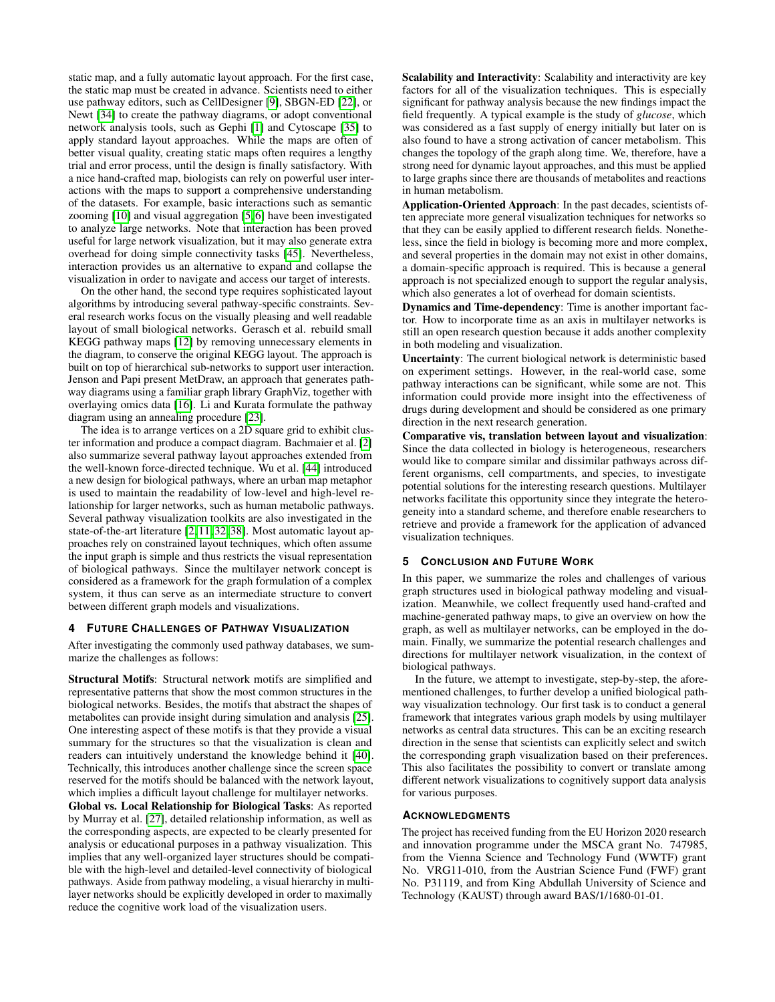static map, and a fully automatic layout approach. For the first case, the static map must be created in advance. Scientists need to either use pathway editors, such as CellDesigner [\[9\]](#page-4-28), SBGN-ED [\[22\]](#page-4-29), or Newt [\[34\]](#page-4-30) to create the pathway diagrams, or adopt conventional network analysis tools, such as Gephi [\[1\]](#page-4-31) and Cytoscape [\[35\]](#page-4-17) to apply standard layout approaches. While the maps are often of better visual quality, creating static maps often requires a lengthy trial and error process, until the design is finally satisfactory. With a nice hand-crafted map, biologists can rely on powerful user interactions with the maps to support a comprehensive understanding of the datasets. For example, basic interactions such as semantic zooming [\[10\]](#page-4-32) and visual aggregation [\[5,](#page-4-33) [6\]](#page-4-34) have been investigated to analyze large networks. Note that interaction has been proved useful for large network visualization, but it may also generate extra overhead for doing simple connectivity tasks [\[45\]](#page-4-35). Nevertheless, interaction provides us an alternative to expand and collapse the visualization in order to navigate and access our target of interests.

On the other hand, the second type requires sophisticated layout algorithms by introducing several pathway-specific constraints. Several research works focus on the visually pleasing and well readable layout of small biological networks. Gerasch et al. rebuild small KEGG pathway maps [\[12\]](#page-4-36) by removing unnecessary elements in the diagram, to conserve the original KEGG layout. The approach is built on top of hierarchical sub-networks to support user interaction. Jenson and Papi present MetDraw, an approach that generates pathway diagrams using a familiar graph library GraphViz, together with overlaying omics data [\[16\]](#page-4-37). Li and Kurata formulate the pathway diagram using an annealing procedure [\[23\]](#page-4-38).

The idea is to arrange vertices on a 2D square grid to exhibit cluster information and produce a compact diagram. Bachmaier et al. [\[2\]](#page-4-39) also summarize several pathway layout approaches extended from the well-known force-directed technique. Wu et al. [\[44\]](#page-4-40) introduced a new design for biological pathways, where an urban map metaphor is used to maintain the readability of low-level and high-level relationship for larger networks, such as human metabolic pathways. Several pathway visualization toolkits are also investigated in the state-of-the-art literature [\[2,](#page-4-39) [11,](#page-4-41) [32,](#page-4-42) [38\]](#page-4-43). Most automatic layout approaches rely on constrained layout techniques, which often assume the input graph is simple and thus restricts the visual representation of biological pathways. Since the multilayer network concept is considered as a framework for the graph formulation of a complex system, it thus can serve as an intermediate structure to convert between different graph models and visualizations.

#### <span id="page-3-0"></span>**4 FUTURE CHALLENGES OF PATHWAY VISUALIZATION**

After investigating the commonly used pathway databases, we summarize the challenges as follows:

Structural Motifs: Structural network motifs are simplified and representative patterns that show the most common structures in the biological networks. Besides, the motifs that abstract the shapes of metabolites can provide insight during simulation and analysis [\[25\]](#page-4-24). One interesting aspect of these motifs is that they provide a visual summary for the structures so that the visualization is clean and readers can intuitively understand the knowledge behind it [\[40\]](#page-4-44). Technically, this introduces another challenge since the screen space reserved for the motifs should be balanced with the network layout, which implies a difficult layout challenge for multilayer networks. Global vs. Local Relationship for Biological Tasks: As reported by Murray et al. [\[27\]](#page-4-25), detailed relationship information, as well as the corresponding aspects, are expected to be clearly presented for analysis or educational purposes in a pathway visualization. This implies that any well-organized layer structures should be compatible with the high-level and detailed-level connectivity of biological pathways. Aside from pathway modeling, a visual hierarchy in multilayer networks should be explicitly developed in order to maximally reduce the cognitive work load of the visualization users.

Scalability and Interactivity: Scalability and interactivity are key factors for all of the visualization techniques. This is especially significant for pathway analysis because the new findings impact the field frequently. A typical example is the study of *glucose*, which was considered as a fast supply of energy initially but later on is also found to have a strong activation of cancer metabolism. This changes the topology of the graph along time. We, therefore, have a strong need for dynamic layout approaches, and this must be applied to large graphs since there are thousands of metabolites and reactions in human metabolism.

Application-Oriented Approach: In the past decades, scientists often appreciate more general visualization techniques for networks so that they can be easily applied to different research fields. Nonetheless, since the field in biology is becoming more and more complex, and several properties in the domain may not exist in other domains, a domain-specific approach is required. This is because a general approach is not specialized enough to support the regular analysis, which also generates a lot of overhead for domain scientists.

Dynamics and Time-dependency: Time is another important factor. How to incorporate time as an axis in multilayer networks is still an open research question because it adds another complexity in both modeling and visualization.

Uncertainty: The current biological network is deterministic based on experiment settings. However, in the real-world case, some pathway interactions can be significant, while some are not. This information could provide more insight into the effectiveness of drugs during development and should be considered as one primary direction in the next research generation.

Comparative vis, translation between layout and visualization: Since the data collected in biology is heterogeneous, researchers would like to compare similar and dissimilar pathways across different organisms, cell compartments, and species, to investigate potential solutions for the interesting research questions. Multilayer networks facilitate this opportunity since they integrate the heterogeneity into a standard scheme, and therefore enable researchers to retrieve and provide a framework for the application of advanced visualization techniques.

#### <span id="page-3-1"></span>**5 CONCLUSION AND FUTURE WORK**

In this paper, we summarize the roles and challenges of various graph structures used in biological pathway modeling and visualization. Meanwhile, we collect frequently used hand-crafted and machine-generated pathway maps, to give an overview on how the graph, as well as multilayer networks, can be employed in the domain. Finally, we summarize the potential research challenges and directions for multilayer network visualization, in the context of biological pathways.

In the future, we attempt to investigate, step-by-step, the aforementioned challenges, to further develop a unified biological pathway visualization technology. Our first task is to conduct a general framework that integrates various graph models by using multilayer networks as central data structures. This can be an exciting research direction in the sense that scientists can explicitly select and switch the corresponding graph visualization based on their preferences. This also facilitates the possibility to convert or translate among different network visualizations to cognitively support data analysis for various purposes.

#### **ACKNOWLEDGMENTS**

The project has received funding from the EU Horizon 2020 research and innovation programme under the MSCA grant No. 747985, from the Vienna Science and Technology Fund (WWTF) grant No. VRG11-010, from the Austrian Science Fund (FWF) grant No. P31119, and from King Abdullah University of Science and Technology (KAUST) through award BAS/1/1680-01-01.